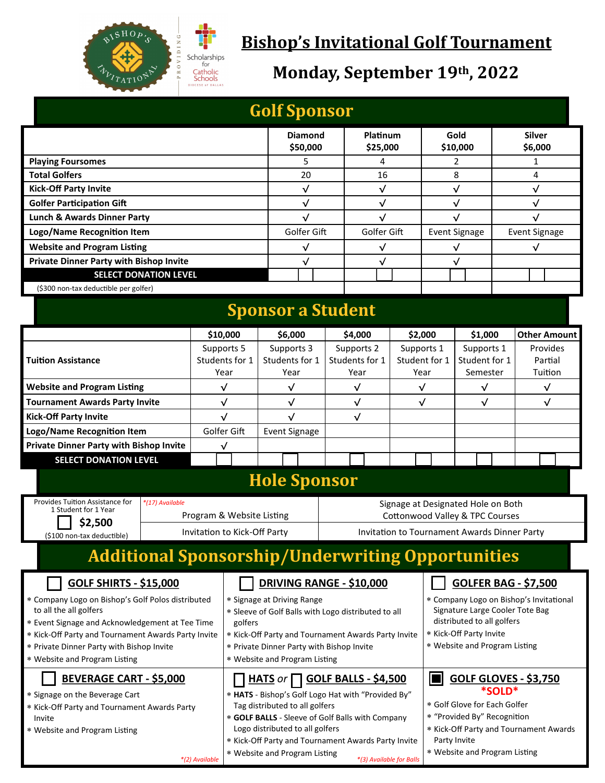

### **Bishop's Invitational Golf Tournament**

### **Monday, September 19th, 2022**

| <b>Golf Sponsor</b>                                                                                                                                                                                                                                                 |                                              |                |                                                                                                                                                                                                                                   |                                                                                                                                                                                                                                                                             |              |                      |                                                                                                                                                                        |                        |                                                                       |                          |                             |  |
|---------------------------------------------------------------------------------------------------------------------------------------------------------------------------------------------------------------------------------------------------------------------|----------------------------------------------|----------------|-----------------------------------------------------------------------------------------------------------------------------------------------------------------------------------------------------------------------------------|-----------------------------------------------------------------------------------------------------------------------------------------------------------------------------------------------------------------------------------------------------------------------------|--------------|----------------------|------------------------------------------------------------------------------------------------------------------------------------------------------------------------|------------------------|-----------------------------------------------------------------------|--------------------------|-----------------------------|--|
|                                                                                                                                                                                                                                                                     |                                              |                |                                                                                                                                                                                                                                   | <b>Diamond</b><br>\$50,000                                                                                                                                                                                                                                                  |              | Platinum<br>\$25,000 |                                                                                                                                                                        | Gold<br>\$10,000       |                                                                       | <b>Silver</b><br>\$6,000 |                             |  |
| <b>Playing Foursomes</b>                                                                                                                                                                                                                                            |                                              |                |                                                                                                                                                                                                                                   | 5                                                                                                                                                                                                                                                                           |              |                      | 4                                                                                                                                                                      |                        | 2                                                                     |                          | 1                           |  |
| <b>Total Golfers</b>                                                                                                                                                                                                                                                |                                              |                |                                                                                                                                                                                                                                   | 20                                                                                                                                                                                                                                                                          |              | 16                   |                                                                                                                                                                        | 8                      |                                                                       |                          | 4                           |  |
| <b>Kick-Off Party Invite</b>                                                                                                                                                                                                                                        |                                              |                | $\checkmark$                                                                                                                                                                                                                      |                                                                                                                                                                                                                                                                             | $\checkmark$ |                      | $\checkmark$                                                                                                                                                           |                        |                                                                       | $\checkmark$             |                             |  |
| <b>Golfer Participation Gift</b>                                                                                                                                                                                                                                    |                                              |                | $\checkmark$                                                                                                                                                                                                                      |                                                                                                                                                                                                                                                                             | $\sqrt{ }$   |                      | $\checkmark$                                                                                                                                                           |                        |                                                                       | $\checkmark$             |                             |  |
| <b>Lunch &amp; Awards Dinner Party</b>                                                                                                                                                                                                                              |                                              |                | $\sqrt{ }$                                                                                                                                                                                                                        |                                                                                                                                                                                                                                                                             | √            |                      | $\checkmark$                                                                                                                                                           |                        | $\checkmark$                                                          |                          |                             |  |
| Logo/Name Recognition Item                                                                                                                                                                                                                                          |                                              |                |                                                                                                                                                                                                                                   | Golfer Gift                                                                                                                                                                                                                                                                 |              | Golfer Gift          |                                                                                                                                                                        | <b>Event Signage</b>   |                                                                       | <b>Event Signage</b>     |                             |  |
| <b>Website and Program Listing</b>                                                                                                                                                                                                                                  |                                              |                |                                                                                                                                                                                                                                   | $\checkmark$                                                                                                                                                                                                                                                                |              | $\checkmark$         |                                                                                                                                                                        | $\checkmark$           |                                                                       | $\checkmark$             |                             |  |
| <b>Private Dinner Party with Bishop Invite</b>                                                                                                                                                                                                                      |                                              |                |                                                                                                                                                                                                                                   | $\checkmark$                                                                                                                                                                                                                                                                |              | $\checkmark$         |                                                                                                                                                                        | $\checkmark$           |                                                                       |                          |                             |  |
| <b>SELECT DONATION LEVEL</b>                                                                                                                                                                                                                                        |                                              |                |                                                                                                                                                                                                                                   |                                                                                                                                                                                                                                                                             |              |                      |                                                                                                                                                                        |                        |                                                                       |                          |                             |  |
| (\$300 non-tax deductible per golfer)                                                                                                                                                                                                                               |                                              |                |                                                                                                                                                                                                                                   |                                                                                                                                                                                                                                                                             |              |                      |                                                                                                                                                                        |                        |                                                                       |                          |                             |  |
| <b>Sponsor a Student</b>                                                                                                                                                                                                                                            |                                              |                |                                                                                                                                                                                                                                   |                                                                                                                                                                                                                                                                             |              |                      |                                                                                                                                                                        |                        |                                                                       |                          |                             |  |
|                                                                                                                                                                                                                                                                     |                                              |                | \$10,000                                                                                                                                                                                                                          | \$6,000                                                                                                                                                                                                                                                                     |              | \$4,000              |                                                                                                                                                                        | \$2,000                | \$1,000                                                               |                          | <b>Other Amount</b>         |  |
| <b>Tuition Assistance</b>                                                                                                                                                                                                                                           |                                              | Supports 5     |                                                                                                                                                                                                                                   | Supports 3                                                                                                                                                                                                                                                                  |              | Supports 2           | Supports 1                                                                                                                                                             |                        | Supports 1                                                            |                          | Provides                    |  |
|                                                                                                                                                                                                                                                                     |                                              | Students for 1 |                                                                                                                                                                                                                                   | Students for 1                                                                                                                                                                                                                                                              |              | Students for 1       |                                                                                                                                                                        | Student for 1          | Student for 1                                                         |                          | Partial                     |  |
|                                                                                                                                                                                                                                                                     |                                              | Year           |                                                                                                                                                                                                                                   | Year                                                                                                                                                                                                                                                                        |              | Year                 |                                                                                                                                                                        | Year                   | Semester                                                              |                          | Tuition                     |  |
| <b>Website and Program Listing</b>                                                                                                                                                                                                                                  |                                              | $\checkmark$   |                                                                                                                                                                                                                                   | $\sqrt{ }$                                                                                                                                                                                                                                                                  |              | $\sqrt{ }$           |                                                                                                                                                                        | $\checkmark$<br>√<br>√ |                                                                       |                          | $\sqrt{ }$                  |  |
| <b>Tournament Awards Party Invite</b>                                                                                                                                                                                                                               |                                              | $\checkmark$   |                                                                                                                                                                                                                                   | $\sqrt{}$                                                                                                                                                                                                                                                                   |              | $\sqrt{}$            |                                                                                                                                                                        | $\checkmark$           |                                                                       |                          | $\checkmark$                |  |
| <b>Kick-Off Party Invite</b>                                                                                                                                                                                                                                        |                                              | $\checkmark$   |                                                                                                                                                                                                                                   | $\checkmark$                                                                                                                                                                                                                                                                |              | $\sqrt{}$            |                                                                                                                                                                        |                        |                                                                       |                          |                             |  |
| Logo/Name Recognition Item                                                                                                                                                                                                                                          |                                              | Golfer Gift    |                                                                                                                                                                                                                                   | <b>Event Signage</b>                                                                                                                                                                                                                                                        |              |                      |                                                                                                                                                                        |                        |                                                                       |                          |                             |  |
| <b>Private Dinner Party with Bishop Invite</b>                                                                                                                                                                                                                      |                                              |                | $\sqrt{}$                                                                                                                                                                                                                         |                                                                                                                                                                                                                                                                             |              |                      |                                                                                                                                                                        |                        |                                                                       |                          |                             |  |
| <b>SELECT DONATION LEVEL</b>                                                                                                                                                                                                                                        |                                              |                |                                                                                                                                                                                                                                   |                                                                                                                                                                                                                                                                             |              |                      |                                                                                                                                                                        |                        |                                                                       |                          |                             |  |
|                                                                                                                                                                                                                                                                     |                                              |                |                                                                                                                                                                                                                                   | <b>Hole Sponsor</b>                                                                                                                                                                                                                                                         |              |                      |                                                                                                                                                                        |                        |                                                                       |                          |                             |  |
| Provides Tuition Assistance for<br>1 Student for 1 Year                                                                                                                                                                                                             | *(17) Available<br>Program & Website Listing |                |                                                                                                                                                                                                                                   |                                                                                                                                                                                                                                                                             |              |                      |                                                                                                                                                                        |                        | Signage at Designated Hole on Both<br>Cottonwood Valley & TPC Courses |                          |                             |  |
| \$2,500<br>(\$100 non-tax deductible)                                                                                                                                                                                                                               |                                              |                | Invitation to Kick-Off Party                                                                                                                                                                                                      |                                                                                                                                                                                                                                                                             |              |                      |                                                                                                                                                                        |                        | Invitation to Tournament Awards Dinner Party                          |                          |                             |  |
| <b>Additional Sponsorship/Underwriting Opportunities</b>                                                                                                                                                                                                            |                                              |                |                                                                                                                                                                                                                                   |                                                                                                                                                                                                                                                                             |              |                      |                                                                                                                                                                        |                        |                                                                       |                          |                             |  |
| <b>GOLF SHIRTS - \$15,000</b>                                                                                                                                                                                                                                       |                                              |                |                                                                                                                                                                                                                                   | <b>DRIVING RANGE - \$10,000</b>                                                                                                                                                                                                                                             |              |                      |                                                                                                                                                                        |                        |                                                                       |                          | <b>GOLFER BAG - \$7,500</b> |  |
| * Company Logo on Bishop's Golf Polos distributed<br>to all the all golfers<br>* Event Signage and Acknowledgement at Tee Time<br>* Kick-Off Party and Tournament Awards Party Invite<br>* Private Dinner Party with Bishop Invite<br>* Website and Program Listing |                                              |                | * Signage at Driving Range<br>* Sleeve of Golf Balls with Logo distributed to all<br>golfers<br>* Kick-Off Party and Tournament Awards Party Invite<br>* Private Dinner Party with Bishop Invite<br>* Website and Program Listing |                                                                                                                                                                                                                                                                             |              |                      | * Company Logo on Bishop's Invitational<br>Signature Large Cooler Tote Bag<br>distributed to all golfers<br>* Kick-Off Party Invite<br>* Website and Program Listing   |                        |                                                                       |                          |                             |  |
| <b>BEVERAGE CART - \$5,000</b><br>* Signage on the Beverage Cart<br>* Kick-Off Party and Tournament Awards Party<br>Invite<br>* Website and Program Listing                                                                                                         |                                              |                |                                                                                                                                                                                                                                   | $HATS$ or $\Box$ GOLF BALLS - \$4,500<br>* HATS - Bishop's Golf Logo Hat with "Provided By"<br>Tag distributed to all golfers<br>* GOLF BALLS - Sleeve of Golf Balls with Company<br>Logo distributed to all golfers<br>* Kick-Off Party and Tournament Awards Party Invite |              |                      | IOI<br><b>GOLF GLOVES - \$3,750</b><br>*SOLD*<br>* Golf Glove for Each Golfer<br>* "Provided By" Recognition<br>* Kick-Off Party and Tournament Awards<br>Party Invite |                        |                                                                       |                          |                             |  |

Website and Program Listing

*\*(2) Available \*(3) Available for Balls*

Website and Program Listing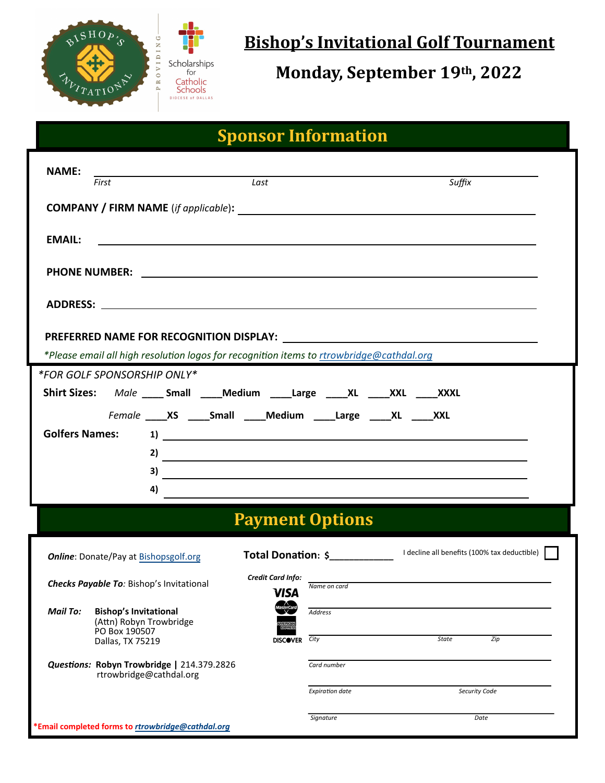

 **Bishop's Invitational Golf Tournament**

**Monday, September 19th, 2022**

# **Sponsor Information**

| <b>NAME:</b>                                                                                                                                                                                                                                                                                                                                                                          |  |  |  |  |  |  |  |
|---------------------------------------------------------------------------------------------------------------------------------------------------------------------------------------------------------------------------------------------------------------------------------------------------------------------------------------------------------------------------------------|--|--|--|--|--|--|--|
| Suffix<br>Last<br>First                                                                                                                                                                                                                                                                                                                                                               |  |  |  |  |  |  |  |
|                                                                                                                                                                                                                                                                                                                                                                                       |  |  |  |  |  |  |  |
| <b>EMAIL:</b><br><u> 1990 - Jan Alexandro Alexandro Alexandro Alexandro Alexandro Alexandro Alexandro Alexandro Alexandro Alexandro </u>                                                                                                                                                                                                                                              |  |  |  |  |  |  |  |
|                                                                                                                                                                                                                                                                                                                                                                                       |  |  |  |  |  |  |  |
|                                                                                                                                                                                                                                                                                                                                                                                       |  |  |  |  |  |  |  |
|                                                                                                                                                                                                                                                                                                                                                                                       |  |  |  |  |  |  |  |
|                                                                                                                                                                                                                                                                                                                                                                                       |  |  |  |  |  |  |  |
| *Please email all high resolution logos for recognition items to rtrowbridge@cathdal.org                                                                                                                                                                                                                                                                                              |  |  |  |  |  |  |  |
| *FOR GOLF SPONSORSHIP ONLY*                                                                                                                                                                                                                                                                                                                                                           |  |  |  |  |  |  |  |
| Shirt Sizes: Male ____ Small ____ Medium ____ Large ____ XL ____ XXL ____ XXXL                                                                                                                                                                                                                                                                                                        |  |  |  |  |  |  |  |
| Female _____ XS ______ Small ______ Medium ______Large ______ XL ______ XXL                                                                                                                                                                                                                                                                                                           |  |  |  |  |  |  |  |
|                                                                                                                                                                                                                                                                                                                                                                                       |  |  |  |  |  |  |  |
| $\overline{2}$ ) $\overline{2}$ $\overline{2}$ $\overline{2}$ $\overline{2}$ $\overline{2}$ $\overline{2}$ $\overline{2}$ $\overline{2}$ $\overline{2}$ $\overline{2}$ $\overline{2}$ $\overline{2}$ $\overline{2}$ $\overline{2}$ $\overline{2}$ $\overline{2}$ $\overline{2}$ $\overline{2}$ $\overline{2}$ $\overline{2}$ $\overline{2}$ $\overline{2}$ $\overline{2}$ $\overline$ |  |  |  |  |  |  |  |
| $\overline{\mathbf{a}}$                                                                                                                                                                                                                                                                                                                                                               |  |  |  |  |  |  |  |
| 4)                                                                                                                                                                                                                                                                                                                                                                                    |  |  |  |  |  |  |  |
| <b>Payment Options</b>                                                                                                                                                                                                                                                                                                                                                                |  |  |  |  |  |  |  |
| <b>Online:</b> Donate/Pay at Bishopsgolf.org                                                                                                                                                                                                                                                                                                                                          |  |  |  |  |  |  |  |
| Credit Card Info:<br>the control of the control of the control of the control of the control of the control of<br>Checks Payable To: Bishop's Invitational<br>Name on card<br><b>VISA</b>                                                                                                                                                                                             |  |  |  |  |  |  |  |
| <b>Mail To:</b><br><b>Bishop's Invitational</b><br><b>Address</b><br>(Attn) Robyn Trowbridge                                                                                                                                                                                                                                                                                          |  |  |  |  |  |  |  |
| PO Box 190507<br>City<br><b>State</b><br>Zip<br><b>DISCOVER</b><br>Dallas, TX 75219                                                                                                                                                                                                                                                                                                   |  |  |  |  |  |  |  |
| Questions: Robyn Trowbridge   214.379.2826<br>Card number<br>rtrowbridge@cathdal.org                                                                                                                                                                                                                                                                                                  |  |  |  |  |  |  |  |
| Security Code<br><b>Expiration date</b>                                                                                                                                                                                                                                                                                                                                               |  |  |  |  |  |  |  |
| Signature<br>Date<br>*Email completed forms to rtrowbridge@cathdal.org                                                                                                                                                                                                                                                                                                                |  |  |  |  |  |  |  |